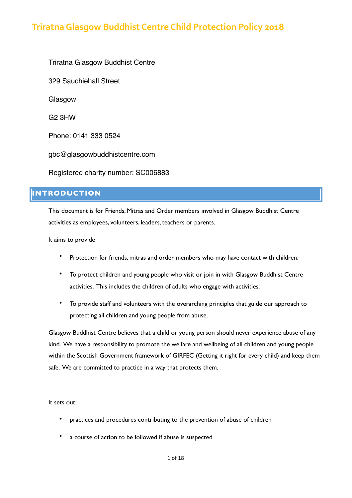Triratna Glasgow Buddhist Centre 329 Sauchiehall Street Glasgow G2 3HW Phone: 0141 333 0524 gbc@glasgowbuddhistcentre.com Registered charity number: SC006883

# **INTRODUCTION**

This document is for Friends, Mitras and Order members involved in Glasgow Buddhist Centre activities as employees, volunteers, leaders, teachers or parents.

It aims to provide

- Protection for friends, mitras and order members who may have contact with children.
- To protect children and young people who visit or join in with Glasgow Buddhist Centre activities. This includes the children of adults who engage with activities.
- To provide staff and volunteers with the overarching principles that guide our approach to protecting all children and young people from abuse.

Glasgow Buddhist Centre believes that a child or young person should never experience abuse of any kind. We have a responsibility to promote the welfare and wellbeing of all children and young people within the Scottish Government framework of GIRFEC (Getting it right for every child) and keep them safe. We are committed to practice in a way that protects them.

It sets out:

- practices and procedures contributing to the prevention of abuse of children
- a course of action to be followed if abuse is suspected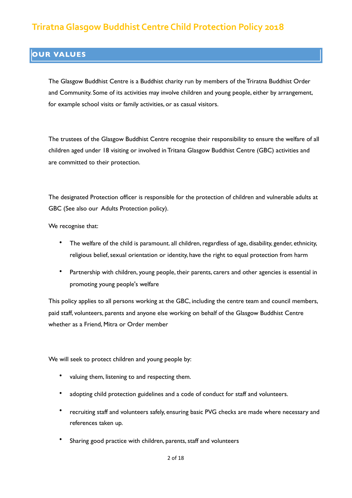# **OUR VALUES**

The Glasgow Buddhist Centre is a Buddhist charity run by members of the Triratna Buddhist Order and Community. Some of its activities may involve children and young people, either by arrangement, for example school visits or family activities, or as casual visitors.

The trustees of the Glasgow Buddhist Centre recognise their responsibility to ensure the welfare of all children aged under 18 visiting or involved in Tritana Glasgow Buddhist Centre (GBC) activities and are committed to their protection.

The designated Protection officer is responsible for the protection of children and vulnerable adults at GBC (See also our Adults Protection policy).

We recognise that:

- The welfare of the child is paramount. all children, regardless of age, disability, gender, ethnicity, religious belief, sexual orientation or identity, have the right to equal protection from harm
- Partnership with children, young people, their parents, carers and other agencies is essential in promoting young people's welfare

This policy applies to all persons working at the GBC, including the centre team and council members, paid staff, volunteers, parents and anyone else working on behalf of the Glasgow Buddhist Centre whether as a Friend, Mitra or Order member

We will seek to protect children and young people by:

- valuing them, listening to and respecting them.
- adopting child protection guidelines and a code of conduct for staff and volunteers.
- recruiting staff and volunteers safely, ensuring basic PVG checks are made where necessary and references taken up.
- Sharing good practice with children, parents, staff and volunteers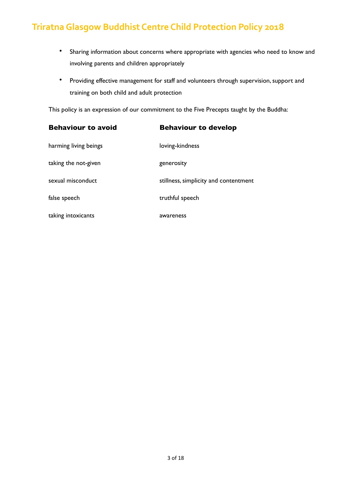- Sharing information about concerns where appropriate with agencies who need to know and involving parents and children appropriately
- Providing effective management for staff and volunteers through supervision, support and training on both child and adult protection

This policy is an expression of our commitment to the Five Precepts taught by the Buddha:

| <b>Behaviour to avoid</b>                                                       | <b>Behaviour to develop</b>                                                         |
|---------------------------------------------------------------------------------|-------------------------------------------------------------------------------------|
| harming living beings                                                           | loving-kindness                                                                     |
| taking the not-given<br>sexual misconduct<br>false speech<br>taking intoxicants | generosity<br>stillness, simplicity and contentment<br>truthful speech<br>awareness |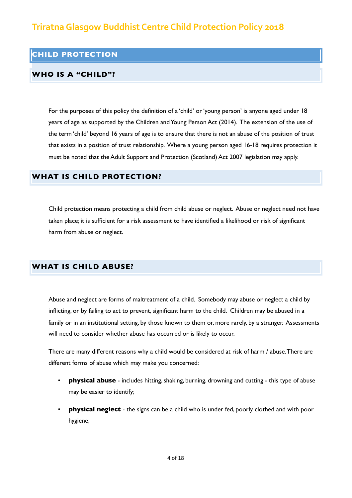### **CHILD PROTECTION**

### **WHO IS A "CHILD"?**

For the purposes of this policy the definition of a 'child' or 'young person' is anyone aged under 18 years of age as supported by the Children and Young Person Act (2014). The extension of the use of the term 'child' beyond 16 years of age is to ensure that there is not an abuse of the position of trust that exists in a position of trust relationship. Where a young person aged 16-18 requires protection it must be noted that the Adult Support and Protection (Scotland) Act 2007 legislation may apply.

### **WHAT IS CHILD PROTECTION?**

Child protection means protecting a child from child abuse or neglect. Abuse or neglect need not have taken place; it is sufficient for a risk assessment to have identified a likelihood or risk of significant harm from abuse or neglect.

### **WHAT IS CHILD ABUSE?**

Abuse and neglect are forms of maltreatment of a child. Somebody may abuse or neglect a child by inflicting, or by failing to act to prevent, significant harm to the child. Children may be abused in a family or in an institutional setting, by those known to them or, more rarely, by a stranger. Assessments will need to consider whether abuse has occurred or is likely to occur.

There are many different reasons why a child would be considered at risk of harm / abuse. There are different forms of abuse which may make you concerned:

- **physical abuse** includes hitting, shaking, burning, drowning and cutting this type of abuse may be easier to identify;
- **physical neglect** the signs can be a child who is under fed, poorly clothed and with poor hygiene;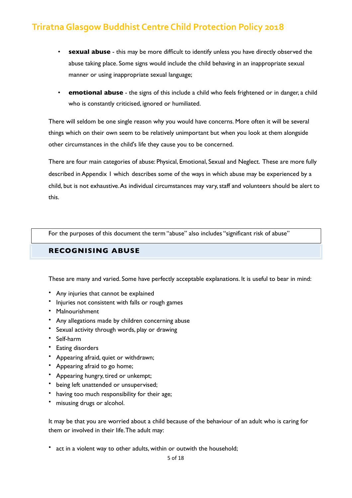- **sexual abuse** this may be more difficult to identify unless you have directly observed the abuse taking place. Some signs would include the child behaving in an inappropriate sexual manner or using inappropriate sexual language;
- **emotional abuse** the signs of this include a child who feels frightened or in danger, a child who is constantly criticised, ignored or humiliated.

There will seldom be one single reason why you would have concerns. More often it will be several things which on their own seem to be relatively unimportant but when you look at them alongside other circumstances in the child's life they cause you to be concerned.

There are four main categories of abuse: Physical, Emotional, Sexual and Neglect. These are more fully described in Appendix 1 which describes some of the ways in which abuse may be experienced by a child, but is not exhaustive. As individual circumstances may vary, staff and volunteers should be alert to this.

For the purposes of this document the term "abuse" also includes "significant risk of abuse"

## **RECOGNISING ABUSE**

These are many and varied. Some have perfectly acceptable explanations. It is useful to bear in mind:

- Any injuries that cannot be explained
- Injuries not consistent with falls or rough games
- Malnourishment
- Any allegations made by children concerning abuse
- Sexual activity through words, play or drawing
- Self-harm
- Eating disorders
- Appearing afraid, quiet or withdrawn;
- Appearing afraid to go home;
- Appearing hungry, tired or unkempt;
- being left unattended or unsupervised;
- having too much responsibility for their age;
- misusing drugs or alcohol.

It may be that you are worried about a child because of the behaviour of an adult who is caring for them or involved in their life. The adult may:

• act in a violent way to other adults, within or outwith the household;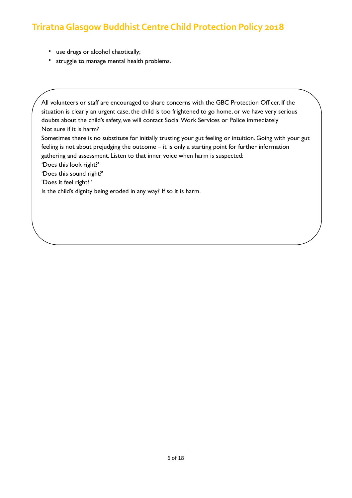- use drugs or alcohol chaotically;
- struggle to manage mental health problems.

All volunteers or staff are encouraged to share concerns with the GBC Protection Officer. If the situation is clearly an urgent case, the child is too frightened to go home, or we have very serious doubts about the child's safety, we will contact Social Work Services or Police immediately Not sure if it is harm?

Sometimes there is no substitute for initially trusting your gut feeling or intuition. Going with your gut feeling is not about prejudging the outcome – it is only a starting point for further information gathering and assessment. Listen to that inner voice when harm is suspected:

'Does this look right?'

'Does this sound right?'

'Does it feel right? '

Is the child's dignity being eroded in any way? If so it is harm.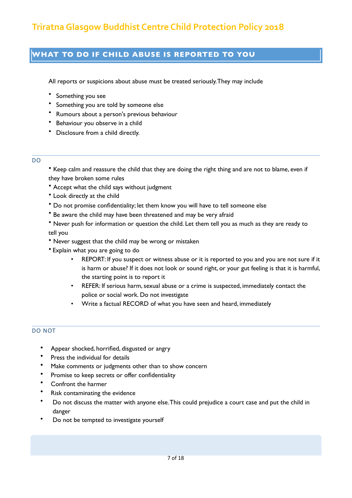# **WHAT TO DO IF CHILD ABUSE IS REPORTED TO YOU**

All reports or suspicions about abuse must be treated seriously. They may include

- Something you see
- Something you are told by someone else
- Rumours about a person's previous behaviour
- Behaviour you observe in a child
- Disclosure from a child directly.
- DO

• Keep calm and reassure the child that they are doing the right thing and are not to blame, even if they have broken some rules

- Accept what the child says without judgment
- Look directly at the child
- Do not promise confidentiality; let them know you will have to tell someone else
- Be aware the child may have been threatened and may be very afraid

• Never push for information or question the child. Let them tell you as much as they are ready to tell you

- Never suggest that the child may be wrong or mistaken
- Explain what you are going to do
	- REPORT: If you suspect or witness abuse or it is reported to you and you are not sure if it is harm or abuse? If it does not look or sound right, or your gut feeling is that it is harmful, the starting point is to report it
	- REFER: If serious harm, sexual abuse or a crime is suspected, immediately contact the police or social work. Do not investigate
	- Write a factual RECORD of what you have seen and heard, immediately

### DO NOT

- Appear shocked, horrified, disgusted or angry
- Press the individual for details
- Make comments or judgments other than to show concern
- Promise to keep secrets or offer confidentiality
- Confront the harmer
- Risk contaminating the evidence
- Do not discuss the matter with anyone else. This could prejudice a court case and put the child in danger
- Do not be tempted to investigate yourself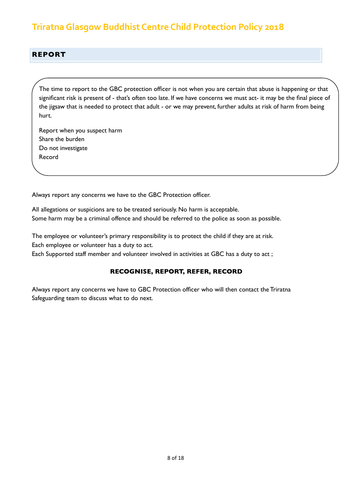### **REPORT**

The time to report to the GBC protection officer is not when you are certain that abuse is happening or that significant risk is present of - that's often too late. If we have concerns we must act- it may be the final piece of the jigsaw that is needed to protect that adult - or we may prevent, further adults at risk of harm from being hurt.

Report when you suspect harm Share the burden Do not investigate Record

Always report any concerns we have to the GBC Protection officer.

All allegations or suspicions are to be treated seriously. No harm is acceptable. Some harm may be a criminal offence and should be referred to the police as soon as possible.

The employee or volunteer's primary responsibility is to protect the child if they are at risk. Each employee or volunteer has a duty to act.

Each Supported staff member and volunteer involved in activities at GBC has a duty to act ;

### **RECOGNISE, REPORT, REFER, RECORD**

Always report any concerns we have to GBC Protection officer who will then contact the Triratna Safeguarding team to discuss what to do next.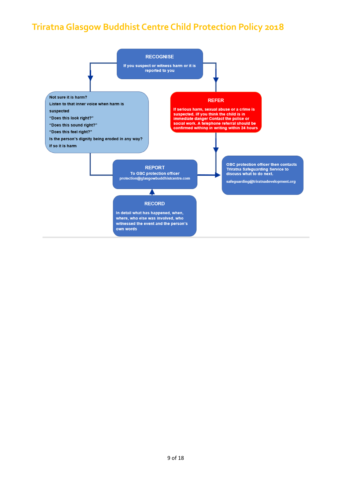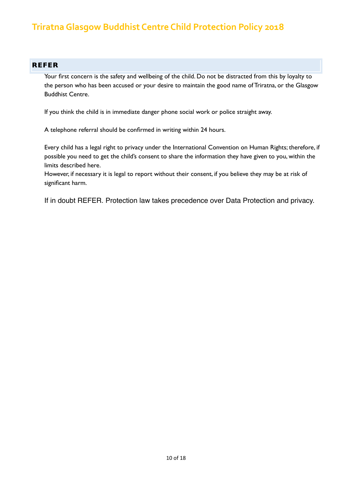### **REFER**

Your first concern is the safety and wellbeing of the child. Do not be distracted from this by loyalty to the person who has been accused or your desire to maintain the good name of Triratna, or the Glasgow Buddhist Centre.

If you think the child is in immediate danger phone social work or police straight away.

A telephone referral should be confirmed in writing within 24 hours.

Every child has a legal right to privacy under the International Convention on Human Rights; therefore, if possible you need to get the child's consent to share the information they have given to you, within the limits described here.

However, if necessary it is legal to report without their consent, if you believe they may be at risk of significant harm.

If in doubt REFER. Protection law takes precedence over Data Protection and privacy.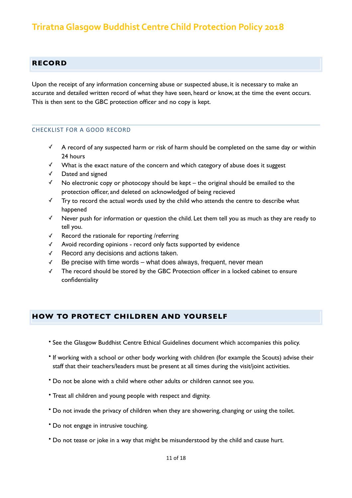### **RECORD**

Upon the receipt of any information concerning abuse or suspected abuse, it is necessary to make an accurate and detailed written record of what they have seen, heard or know, at the time the event occurs. This is then sent to the GBC protection officer and no copy is kept.

#### CHECKLIST FOR A GOOD RECORD

- ✓ A record of any suspected harm or risk of harm should be completed on the same day or within 24 hours
- ✓ What is the exact nature of the concern and which category of abuse does it suggest
- ✓ Dated and signed
- $\checkmark$  No electronic copy or photocopy should be kept the original should be emailed to the protection officer, and deleted on acknowledged of being recieved
- ✓ Try to record the actual words used by the child who attends the centre to describe what happened
- ✓ Never push for information or question the child. Let them tell you as much as they are ready to tell you.
- ✓ Record the rationale for reporting /referring
- ✓ Avoid recording opinions record only facts supported by evidence
- ✓ Record any decisions and actions taken.
- ✓ Be precise with time words what does always, frequent, never mean
- ✓ The record should be stored by the GBC Protection officer in a locked cabinet to ensure confidentiality

### **HOW TO PROTECT CHILDREN AND YOURSELF**

- See the Glasgow Buddhist Centre Ethical Guidelines document which accompanies this policy.
- If working with a school or other body working with children (for example the Scouts) advise their staff that their teachers/leaders must be present at all times during the visit/joint activities.
- Do not be alone with a child where other adults or children cannot see you.
- Treat all children and young people with respect and dignity.
- Do not invade the privacy of children when they are showering, changing or using the toilet.
- Do not engage in intrusive touching.
- Do not tease or joke in a way that might be misunderstood by the child and cause hurt.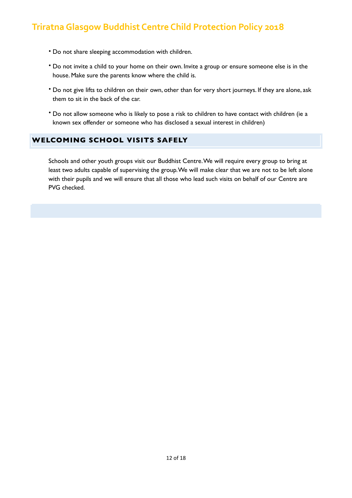- Do not share sleeping accommodation with children.
- Do not invite a child to your home on their own. Invite a group or ensure someone else is in the house. Make sure the parents know where the child is.
- Do not give lifts to children on their own, other than for very short journeys. If they are alone, ask them to sit in the back of the car.
- Do not allow someone who is likely to pose a risk to children to have contact with children (ie a known sex offender or someone who has disclosed a sexual interest in children)

### **WELCOMING SCHOOL VISITS SAFELY**

Schools and other youth groups visit our Buddhist Centre. We will require every group to bring at least two adults capable of supervising the group. We will make clear that we are not to be left alone with their pupils and we will ensure that all those who lead such visits on behalf of our Centre are PVG checked.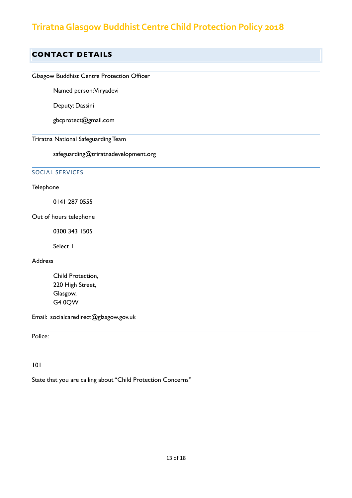# **CONTACT DETAILS**

## Glasgow Buddhist Centre Protection Officer

Named person: Viryadevi

Deputy: Dassini

gbcprotect@gmail.com

Triratna National Safeguarding Team

safeguarding@triratnadevelopment.org

### SOCIAL SERVICES

#### Telephone

0141 287 0555

Out of hours telephone

0300 343 1505

Select 1

#### **Address**

Child Protection, 220 High Street, Glasgow, G4 0QW

Email: [socialcaredirect@glasgow.gov.uk](mailto:socialcaredirect@glasgow.gov.uk)

Police:

101

State that you are calling about "Child Protection Concerns"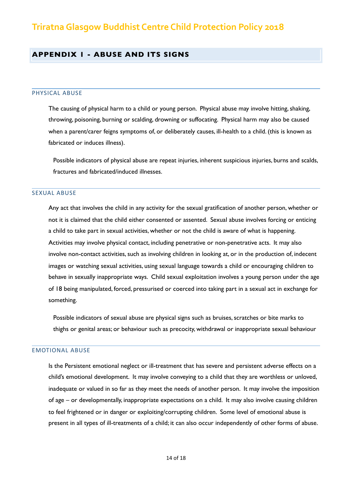### **APPENDIX 1 - ABUSE AND ITS SIGNS**

#### PHYSICAL ABUSE

The causing of physical harm to a child or young person. Physical abuse may involve hitting, shaking, throwing, poisoning, burning or scalding, drowning or suffocating. Physical harm may also be caused when a parent/carer feigns symptoms of, or deliberately causes, ill-health to a child. (this is known as fabricated or induces illness).

Possible indicators of physical abuse are repeat injuries, inherent suspicious injuries, burns and scalds, fractures and fabricated/induced illnesses.

#### SEXUAL ABUSE

Any act that involves the child in any activity for the sexual gratification of another person, whether or not it is claimed that the child either consented or assented. Sexual abuse involves forcing or enticing a child to take part in sexual activities, whether or not the child is aware of what is happening. Activities may involve physical contact, including penetrative or non-penetrative acts. It may also involve non-contact activities, such as involving children in looking at, or in the production of, indecent images or watching sexual activities, using sexual language towards a child or encouraging children to behave in sexually inappropriate ways. Child sexual exploitation involves a young person under the age of 18 being manipulated, forced, pressurised or coerced into taking part in a sexual act in exchange for something.

Possible indicators of sexual abuse are physical signs such as bruises, scratches or bite marks to thighs or genital areas; or behaviour such as precocity, withdrawal or inappropriate sexual behaviour

#### EMOTIONAL ABUSE

Is the Persistent emotional neglect or ill-treatment that has severe and persistent adverse effects on a child's emotional development. It may involve conveying to a child that they are worthless or unloved, inadequate or valued in so far as they meet the needs of another person. It may involve the imposition of age – or developmentally, inappropriate expectations on a child. It may also involve causing children to feel frightened or in danger or exploiting/corrupting children. Some level of emotional abuse is present in all types of ill-treatments of a child; it can also occur independently of other forms of abuse.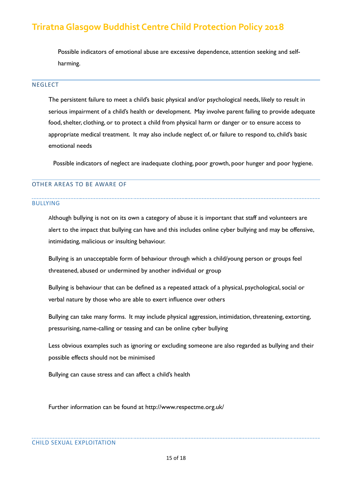Possible indicators of emotional abuse are excessive dependence, attention seeking and selfharming.

#### **NEGLECT**

The persistent failure to meet a child's basic physical and/or psychological needs, likely to result in serious impairment of a child's health or development. May involve parent failing to provide adequate food, shelter, clothing, or to protect a child from physical harm or danger or to ensure access to appropriate medical treatment. It may also include neglect of, or failure to respond to, child's basic emotional needs

Possible indicators of neglect are inadequate clothing, poor growth, poor hunger and poor hygiene.

#### OTHER AREAS TO BE AWARE OF

#### BULLYING

Although bullying is not on its own a category of abuse it is important that staff and volunteers are alert to the impact that bullying can have and this includes online cyber bullying and may be offensive, intimidating, malicious or insulting behaviour.

Bullying is an unacceptable form of behaviour through which a child/young person or groups feel threatened, abused or undermined by another individual or group

Bullying is behaviour that can be defined as a repeated attack of a physical, psychological, social or verbal nature by those who are able to exert influence over others

Bullying can take many forms. It may include physical aggression, intimidation, threatening, extorting, pressurising, name-calling or teasing and can be online cyber bullying

Less obvious examples such as ignoring or excluding someone are also regarded as bullying and their possible effects should not be minimised

Bullying can cause stress and can affect a child's health

Further information can be found at <http://www.respectme.org.uk/>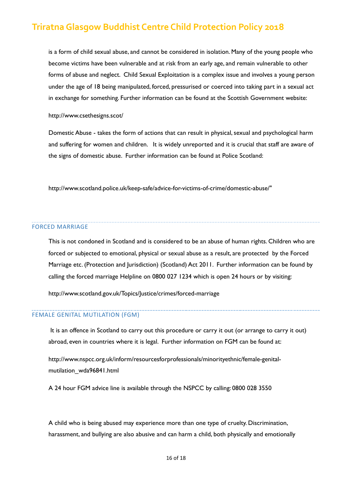is a form of child sexual abuse, and cannot be considered in isolation. Many of the young people who become victims have been vulnerable and at risk from an early age, and remain vulnerable to other forms of abuse and neglect. Child Sexual Exploitation is a complex issue and involves a young person under the age of 18 being manipulated, forced, pressurised or coerced into taking part in a sexual act in exchange for something. Further information can be found at the Scottish Government website:

<http://www.csethesigns.scot/>

Domestic Abuse - takes the form of actions that can result in physical, sexual and psychological harm and suffering for women and children. It is widely unreported and it is crucial that staff are aware of the signs of domestic abuse. Further information can be found at Police Scotland:

[http://www.scotland.police.uk/keep-safe/advice-for-victims-of-crime/domestic-abuse/"](http://www.scotland.police.uk/keep-safe/advice-for-victims-of-crime/domestic-abuse/)

#### FORCED MARRIAGE

This is not condoned in Scotland and is considered to be an abuse of human rights. Children who are forced or subjected to emotional, physical or sexual abuse as a result, are protected by the Forced Marriage etc. (Protection and Jurisdiction) (Scotland) Act 2011. Further information can be found by calling the forced marriage Helpline on 0800 027 1234 which is open 24 hours or by visiting:

<http://www.scotland.gov.uk/Topics/Justice/crimes/forced-marriage>

#### FEMALE GENITAL MUTILATION (FGM)

 It is an offence in Scotland to carry out this procedure or carry it out (or arrange to carry it out) abroad, even in countries where it is legal. Further information on FGM can be found at:

[http://www.nspcc.org.uk/inform/resourcesforprofessionals/minorityethnic/female-genital](http://www.nspcc.org.uk/inform/resourcesforprofessionals/minorityethnic/female-genital-mutilation_wda96841.html)[mutilation\\_wda96841.html](http://www.nspcc.org.uk/inform/resourcesforprofessionals/minorityethnic/female-genital-mutilation_wda96841.html) 

A 24 hour FGM advice line is available through the NSPCC by calling: 0800 028 3550

A child who is being abused may experience more than one type of cruelty. Discrimination, harassment, and bullying are also abusive and can harm a child, both physically and emotionally